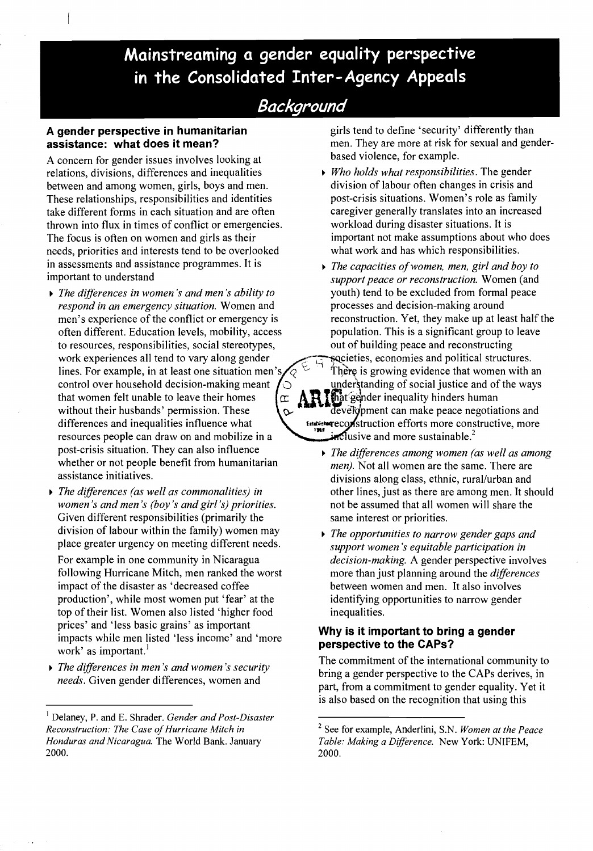## **Mainstreaming a gender equality perspective in the Consolidated Inter-Agency Appeals**

### *Background*

# A gender perspective in humanitarian **and periodic set of the security** differently than

A concern for gender issues involves looking at based violence, for example. relations, divisions, differences and inequalities ~ *Who holds what responsibilities.* The gender between and among women, girls, boys and men. division of labour often changes in crisis and These relationships, responsibilities and identities post-crisis situations. Women's role as family take different forms in each situation and are often caregiver generally translates into an increased thrown into flux in times of conflict or emergencies. workload during disaster situations. It is The focus is often on women and girls as their important not make assumptions about who does needs, priorities and interests tend to be overlooked what work and has which responsibilities. in assessments and assistance programmes. It is  $\qquad \qquad \qquad$  *The capacities of women, men, girl and boy to* important to understand *symport peace or reconstruction* Women (and

- <sup>~</sup>*The differences in women's and men's ability to* youth) tend to be excluded from formal peace *respond in an emergency situation.* Women and processes and decision-making around often different. Education levels, mobility, access population. This is a significant group to leave to resources, responsibilities, social stereotypes, out of building peace and reconstructing work experiences all tend to vary along gender  $\overline{C}$  societies, economies and political structures. lines. For example, in at least one situation men's  $\sqrt{\gamma}$   $\sim$  There is growing evidence that women with an control over household decision-making meant  $\int_{\mathbb{C}}$  understanding of social justice and of the ways that women felt unable to leave their homes  $\int_{\mathbb{C}}$  A R That gender inequality hinders human that women felt unable to leave their homes cr. **Alta field** derived inequality hinders human<br>without their husbands' permission. These differences and inequalities influence what <br>experiences becomes the construction efforts more constructive, more resources people can draw on and mobilize in a resources people can draw on and mobilize in a post-crisis situation. They can also influence<br>whether or not people benefit from humanitarian<br>men) Not all women are the same. There are whether or not people benefit from humanitarian *men*). Not all women are the same. There are assistance initiatives.
- *women's and men's (boy's and girl's) priorities.* not be assumed that all women will share the Given different responsibilities (primarily the same interest or priorities. division of labour within the family) women may<br>place greater urgency on meeting different needs.<br>gunnort women's equitable narticipation in

following Hurricane Mitch, men ranked the worst more than just planning around the *differences*  impact of the disaster as 'decreased coffee between women and men. It also involves production', while most women put 'fear' at the identifying opportunities to narrow gender top of their list. Women also listed 'higher food inequalities. prices' and 'less basic grains' as important impacts while men listed 'less income' and 'more work' as important.<sup>1</sup>

<sup>~</sup>*The differences in men's and women's security needs.* Given gender differences, women and

**assistance: what does it mean? now the mean**. They are more at risk for sexual and gender-

- 
- support peace or reconstruction. Women (and men's experience of the conflict or emergency is reconstruction. Yet, they make up at least half the

 $\infty$  **RULE 19** development can make peace negotiations and

- divisions along class, ethnic, rural/urban and <sup>~</sup>*The differences (as well as commonalities) in* other lines, just as there are among men. It should
	- support women's equitable participation in For example in one community in Nicaragua *decision-making.* A gender perspective involves

#### **Why is it important to bring a gender perspective to the CAPs?**

The commitment of the international community to bring a gender perspective to the CAPs derives, in part, from a commitment to gender equality. Yet it is also based on the recognition that using this

<sup>1</sup> Delaney, P. and E. Shrader. *Gender and Post-Disaster Reconstruction: The Case of Hurricane Mitch in*  Honduras and Nicaragua. The World Bank. January 2000.

<sup>2</sup> See for example, Anderlini, S.N. *Women at the Peace Table: Making a Difference.* New York: UNIFEM, 2000.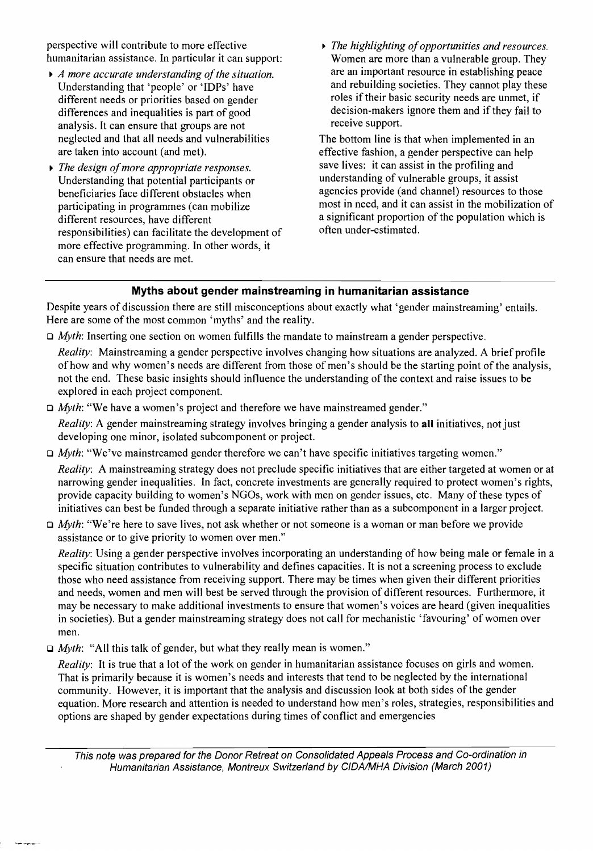perspective will contribute to more effective humanitarian assistance. In particular it can support:

- <sup>~</sup>*A more accurate understanding of the situation.*  Understanding that 'people' or 'IDPs' have different needs or priorities based on gender differences and inequalities is part of good analysis. It can ensure that groups are not neglected and that all needs and vulnerabilities are taken into account (and met).
- <sup>~</sup>*The design of more appropriate responses.*  Understanding that potential participants or beneficiaries face different obstacles when participating in programmes (can mobilize different resources, have different responsibilities) can facilitate the development of more effective programming. In other words, it can ensure that needs are met.
- <sup>~</sup>*The highlighting of opportunities and resources.*  Women are more than a vulnerable group. They are an important resource in establishing peace and rebuilding societies. They cannot play these roles if their basic security needs are unmet, if decision-makers ignore them and if they fail to receive support.

The bottom line is that when implemented in an effective fashion, a gender perspective can help save lives: it can assist in the profiling and understanding of vulnerable groups, it assist agencies provide (and channel) resources to those most in need, and it can assist in the mobilization of a significant proportion of the population which is often under-estimated.

#### **Myths about gender mainstreaming in humanitarian assistance**

Despite years of discussion there are still misconceptions about exactly what 'gender main streaming' entails. Here are some of the most common 'myths' and the reality.

o *Myth:* Inserting one section on women fulfills the mandate to mainstream a gender perspective.

*Reality:* Mainstreaming a gender perspective involves changing how situations are analyzed. A brief profile of how and why women's needs are different from those of men's should be the starting point of the analysis, not the end. These basic insights should influence the understanding of the context and raise issues to be explored in each project component.

o *Myth:* "We have a women's project and therefore we have mainstreamed gender."

*Reality:* A gender mainstreaming strategy involves bringing a gender analysis to all initiatives, not just developing one minor, isolated subcomponent or project.

o *Myth:* "We've mainstreamed gender therefore we can't have specific initiatives targeting women."

*Reality:* A mainstreaming strategy does not preclude specific initiatives that are either targeted at women or at narrowing gender inequalities. In fact, concrete investments are generally required to protect women's rights, provide capacity building to women's NGOs, work with men on gender issues, etc. Many of these types of initiatives can best be funded through a separate initiative rather than as a subcomponent in a larger project.

o *Myth:* "We're here to save lives, not ask whether or not someone is a woman or man before we provide assistance or to give priority to women over men."

*Reality:* Using a gender perspective involves incorporating an understanding of how being male or female in a specific situation contributes to vulnerability and defines capacities. It is not a screening process to exclude those who need assistance from receiving support. There may be times when given their different priorities and needs, women and men will best be served through the provision of different resources. Furthermore, it may be necessary to make additional investments to ensure that women's voices are heard (given inequalities in societies). But a gender mainstreaming strategy does not call for mechanistic 'favouring' of women over men.

□ *Myth*: "All this talk of gender, but what they really mean is women."

*Reality*: It is true that a lot of the work on gender in humanitarian assistance focuses on girls and women. That is primarily because it is women's needs and interests that tend to be neglected by the international community. However, it is important that the analysis and discussion look at both sides of the gender equation. More research and attention is needed to understand how men's roles, strategies, responsibilities and options are shaped by gender expectations during times of conflict and emergencies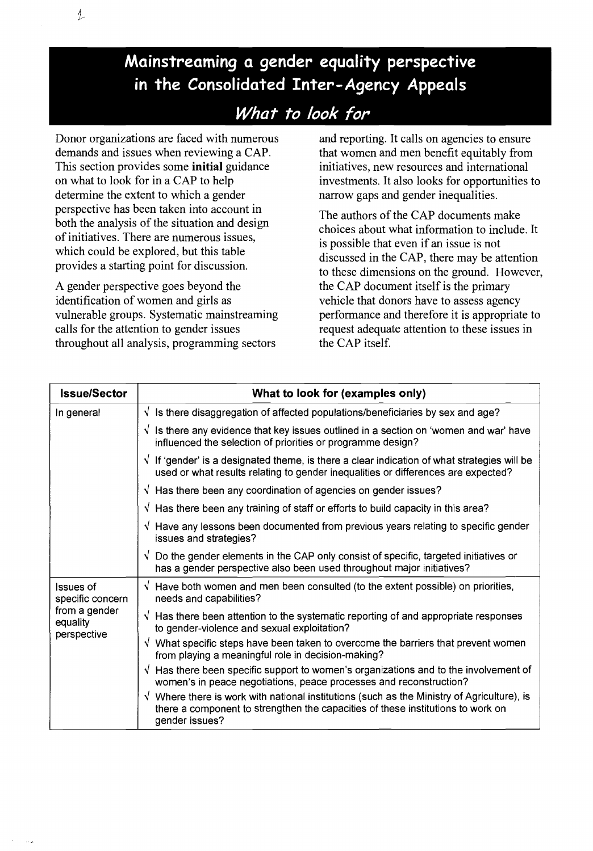## **Mainstreaming a gender equality perspective in the Consolidated Inter-Agency Appeals**  *What to look for*

Donor organizations are faced with numerous demands and issues when reviewing a CAP. This section provides some **initial** guidance on what to look for in a CAP to help determine the extent to which a gender perspective has been taken into account in both the analysis of the situation and design of initiatives. There are numerous issues, which could be explored, but this table provides a starting point for discussion.

1

A gender perspective goes beyond the identification of women and girls as vulnerable groups. Systematic mainstreaming calls for the attention to gender issues throughout all analysis, programming sectors

and reporting. It calls on agencies to ensure that women and men benefit equitably from initiatives, new resources and international investments. It also looks for opportunities to narrow gaps and gender inequalities.

The authors of the CAP documents make choices about what information to include. It is possible that even if an issue is not discussed in the CAP, there may be attention to these dimensions on the ground. However, the CAP document itself is the primary vehicle that donors have to assess agency performance and therefore it is appropriate to request adequate attention to these issues in the CAP itself.

| <b>Issue/Sector</b>                                                       | What to look for (examples only)                                                                                                                                                                         |
|---------------------------------------------------------------------------|----------------------------------------------------------------------------------------------------------------------------------------------------------------------------------------------------------|
| In general                                                                | $\sqrt{ }$ Is there disaggregation of affected populations/beneficiaries by sex and age?                                                                                                                 |
|                                                                           | $\sqrt{ }$ Is there any evidence that key issues outlined in a section on 'women and war' have<br>influenced the selection of priorities or programme design?                                            |
|                                                                           | $\sqrt{ }$ If 'gender' is a designated theme, is there a clear indication of what strategies will be<br>used or what results relating to gender inequalities or differences are expected?                |
|                                                                           | $\sqrt{ }$ Has there been any coordination of agencies on gender issues?                                                                                                                                 |
|                                                                           | $\sqrt{ }$ Has there been any training of staff or efforts to build capacity in this area?                                                                                                               |
|                                                                           | $\sqrt{ }$ Have any lessons been documented from previous years relating to specific gender<br>issues and strategies?                                                                                    |
|                                                                           | Do the gender elements in the CAP only consist of specific, targeted initiatives or<br>N.<br>has a gender perspective also been used throughout major initiatives?                                       |
| Issues of<br>specific concern<br>from a gender<br>equality<br>perspective | $\sqrt{ }$ Have both women and men been consulted (to the extent possible) on priorities,<br>needs and capabilities?                                                                                     |
|                                                                           | $\sqrt{ }$ Has there been attention to the systematic reporting of and appropriate responses<br>to gender-violence and sexual exploitation?                                                              |
|                                                                           | $\sqrt{ }$ What specific steps have been taken to overcome the barriers that prevent women<br>from playing a meaningful role in decision-making?                                                         |
|                                                                           | $\sqrt{ }$ Has there been specific support to women's organizations and to the involvement of<br>women's in peace negotiations, peace processes and reconstruction?                                      |
|                                                                           | $\sqrt{ }$ Where there is work with national institutions (such as the Ministry of Agriculture), is<br>there a component to strengthen the capacities of these institutions to work on<br>gender issues? |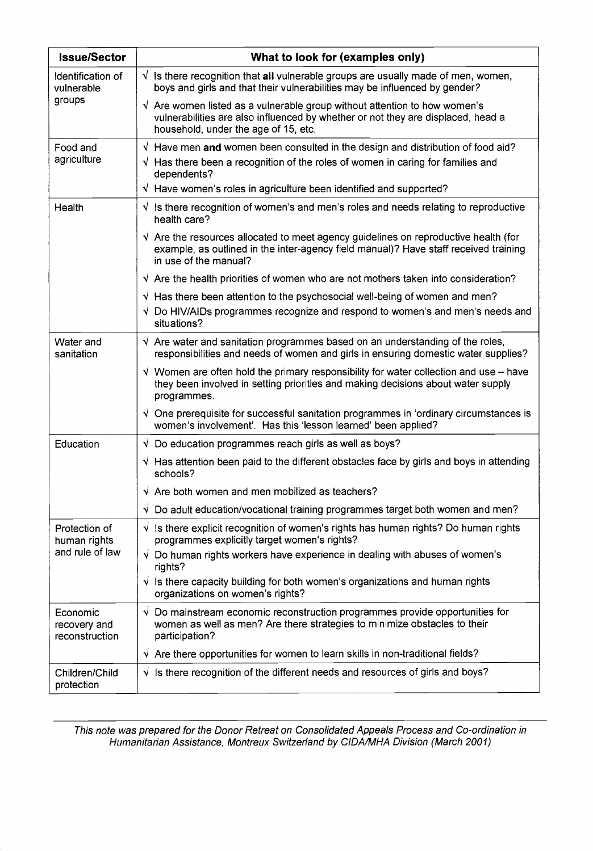| <b>Issue/Sector</b>                              | What to look for (examples only)                                                                                                                                                                               |
|--------------------------------------------------|----------------------------------------------------------------------------------------------------------------------------------------------------------------------------------------------------------------|
| Identification of<br>vulnerable<br>groups        | $\sqrt{ }$ Is there recognition that all vulnerable groups are usually made of men, women,<br>boys and girls and that their vulnerabilities may be influenced by gender?                                       |
|                                                  | $\sqrt{ }$ Are women listed as a vulnerable group without attention to how women's<br>vulnerabilities are also influenced by whether or not they are displaced, head a<br>household, under the age of 15, etc. |
| Food and<br>agriculture                          | $\sqrt{ }$ Have men and women been consulted in the design and distribution of food aid?                                                                                                                       |
|                                                  | $\sqrt{ }$ Has there been a recognition of the roles of women in caring for families and<br>dependents?                                                                                                        |
|                                                  | $\sqrt{ }$ Have women's roles in agriculture been identified and supported?                                                                                                                                    |
| Health                                           | $\sqrt{ }$ is there recognition of women's and men's roles and needs relating to reproductive<br>health care?                                                                                                  |
|                                                  | $\sqrt{ }$ Are the resources allocated to meet agency guidelines on reproductive health (for<br>example, as outlined in the inter-agency field manual)? Have staff received training<br>in use of the manual?  |
|                                                  | $\sqrt{ }$ Are the health priorities of women who are not mothers taken into consideration?                                                                                                                    |
|                                                  | $\sqrt{ }$ Has there been attention to the psychosocial well-being of women and men?<br>$\sqrt{ }$ Do HIV/AIDs programmes recognize and respond to women's and men's needs and<br>situations?                  |
| Water and<br>sanitation                          | $\sqrt{ }$ Are water and sanitation programmes based on an understanding of the roles,<br>responsibilities and needs of women and girls in ensuring domestic water supplies?                                   |
|                                                  | $\sqrt{ }$ Women are often hold the primary responsibility for water collection and use – have<br>they been involved in setting priorities and making decisions about water supply<br>programmes.              |
|                                                  | $\sqrt{ }$ One prerequisite for successful sanitation programmes in 'ordinary circumstances is<br>women's involvement'. Has this 'lesson learned' been applied?                                                |
| Education                                        | $\sqrt{ }$ Do education programmes reach girls as well as boys?                                                                                                                                                |
|                                                  | $\sqrt{ }$ Has attention been paid to the different obstacles face by girls and boys in attending<br>schools?                                                                                                  |
|                                                  | $\sqrt{ }$ Are both women and men mobilized as teachers?                                                                                                                                                       |
|                                                  | Do adult education/vocational training programmes target both women and men?                                                                                                                                   |
| Protection of<br>human rights<br>and rule of law | $\sqrt{ }$ Is there explicit recognition of women's rights has human rights? Do human rights<br>programmes explicitly target women's rights?                                                                   |
|                                                  | $\sqrt{ }$ Do human rights workers have experience in dealing with abuses of women's<br>rights?                                                                                                                |
|                                                  | $\sqrt{ }$ Is there capacity building for both women's organizations and human rights<br>organizations on women's rights?                                                                                      |
| Economic<br>recovery and<br>reconstruction       | $\sqrt{ }$ Do mainstream economic reconstruction programmes provide opportunities for<br>women as well as men? Are there strategies to minimize obstacles to their<br>participation?                           |
|                                                  | $\sqrt{ }$ Are there opportunities for women to learn skills in non-traditional fields?                                                                                                                        |
| Children/Child<br>protection                     | $\sqrt{ }$ Is there recognition of the different needs and resources of girls and boys?                                                                                                                        |

This note was prepared for the Donor Retreat on Consolidated Appeals Process and Co-ordination in Humanitarian Assistance, Montreux Switzerland by CIDAIMHA Division (March 2001)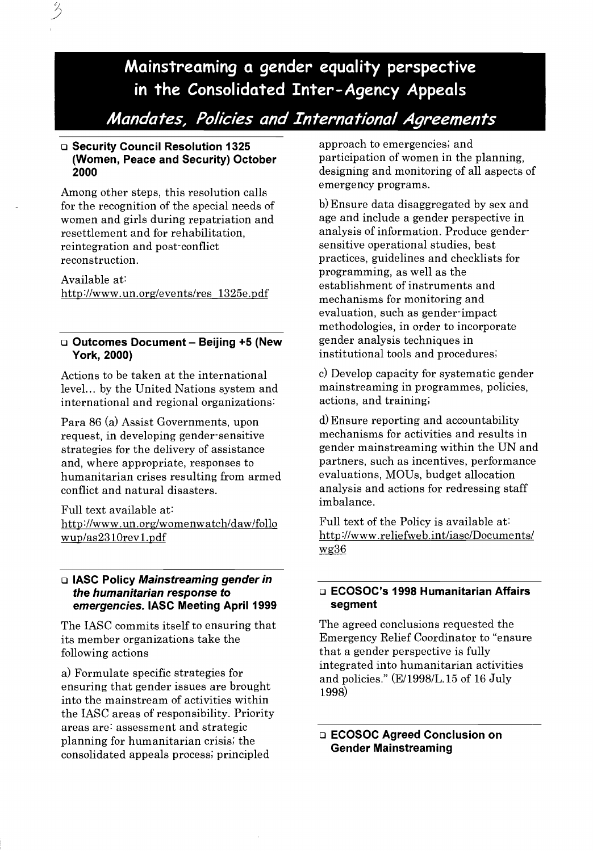### **Mainstreaming a gender equality perspective in the Consolidated Inter-Agency Appeals**

*Mandates, Policies and International Agreements* 

#### o **Security Council Resolution 1325 (Women, Peace and Security) October 2000**

Among other steps, this resolution calls for the recognition of the special needs of women and girls during repatriation and resettlement and for rehabilitation, reintegration and post-conflict reconstruction.

Available at: http://www. un.org/events/res 1325e.pdf

#### o **Outcomes Document- Beijing +5 (New York, 2000)**

Actions to be taken at the international level... by the United Nations system and international and regional organizations:

Para 86 (a) Assist Governments, upon request, in developing gender-sensitive strategies for the delivery of assistance and, where appropriate, responses to humanitarian crises resulting from armed conflict and natural disasters.

Full text available at: http://www.un.org/womenwatch/daw/follo wup/as2310revl.pdf

#### o **IASC Policy Mainstreaming gender in the humanitarian response to emergencies. IASC Meeting April 1999**

The IASC commits itself to ensuring that its member organizations take the following actions

a) Formulate specific strategies for ensuring that gender issues are brought into the mainstream of activities within the IASC areas of responsibility. Priority areas are: assessment and strategic planning for humanitarian crisis; the consolidated appeals process; principled

approach to emergencies; and participation of women in the planning, designing and monitoring of all aspects of emergency programs.

b) Ensure data disaggregated by sex and age and include a gender perspective in analysis of information. Produce gendersensitive operational studies, best practices, guidelines and checklists for programming, as well as the establishment of instruments and mechanisms for monitoring and evaluation, such as gender·impact methodologies, in order to incorporate gender analysis techniques in institutional tools and procedures;

c) Develop capacity for systematic gender mainstreaming in programmes, policies, actions, and training;

d) Ensure reporting and accountability mechanisms for activities and results in gender mainstreaming within the UN and partners, such as incentives, performance evaluations, MOUs, budget allocation analysis and actions for redressing staff imbalance.

Full text of the Policy is available at: http://www.reliefweb.int/iasc/Documents/ wg36

#### o **ECOSOC's 1998 Humanitarian Affairs segment**

The agreed conclusions requested the Emergency Relief Coordinator to "ensure that a gender perspective is fully integrated into humanitarian activities and policies." (E/1998/L.15 of 16 July 1998)

#### o **ECOSOC Agreed Conclusion on Gender Mainstreaming**